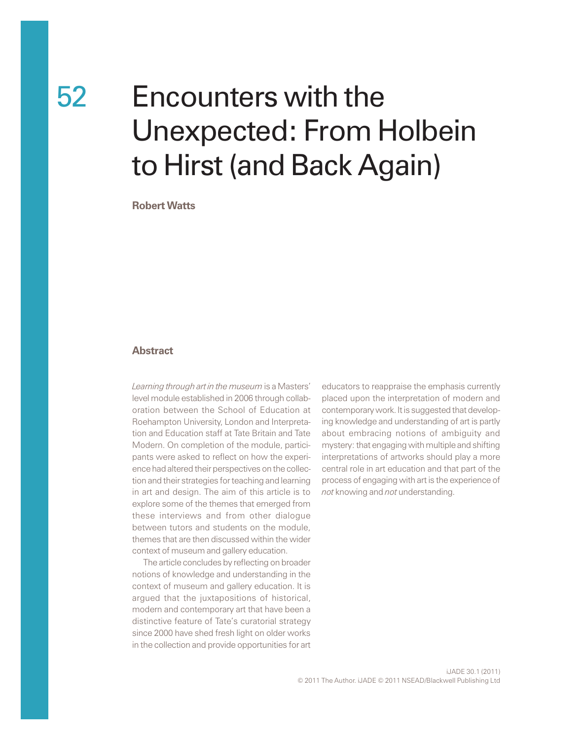## 52

# Encounters with the Unexpected: From Holbein to Hirst (and Back Again)

**Robert Watts**

### **Abstract**

*Learning through art in the museum* is a Masters' level module established in 2006 through collaboration between the School of Education at Roehampton University, London and Interpretation and Education staff at Tate Britain and Tate Modern. On completion of the module, participants were asked to reflect on how the experience had altered their perspectives on the collection and their strategies for teaching and learning in art and design. The aim of this article is to explore some of the themes that emerged from these interviews and from other dialogue between tutors and students on the module, themes that are then discussed within the wider context of museum and gallery education.

The article concludes by reflecting on broader notions of knowledge and understanding in the context of museum and gallery education. It is argued that the juxtapositions of historical, modern and contemporary art that have been a distinctive feature of Tate's curatorial strategy since 2000 have shed fresh light on older works in the collection and provide opportunities for art

educators to reappraise the emphasis currently placed upon the interpretation of modern and contemporary work. It is suggested that developing knowledge and understanding of art is partly about embracing notions of ambiguity and mystery: that engaging with multiple and shifting interpretations of artworks should play a more central role in art education and that part of the process of engaging with art is the experience of *not* knowing and *not* understanding.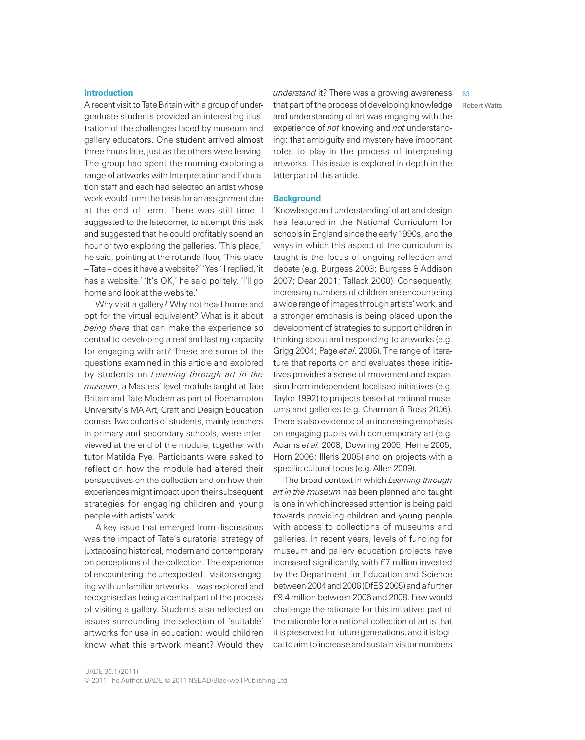#### **Introduction**

A recent visit to Tate Britain with a group of undergraduate students provided an interesting illustration of the challenges faced by museum and gallery educators. One student arrived almost three hours late, just as the others were leaving. The group had spent the morning exploring a range of artworks with Interpretation and Education staff and each had selected an artist whose work would form the basis for an assignment due at the end of term. There was still time, I suggested to the latecomer, to attempt this task and suggested that he could profitably spend an hour or two exploring the galleries. 'This place,' he said, pointing at the rotunda floor, 'This place – Tate – does it have a website?' 'Yes,' I replied, 'it has a website.' 'It's OK,' he said politely, 'I'll go home and look at the website.'

Why visit a gallery? Why not head home and opt for the virtual equivalent? What is it about *being there* that can make the experience so central to developing a real and lasting capacity for engaging with art? These are some of the questions examined in this article and explored by students on *Learning through art in the museum*, a Masters' level module taught at Tate Britain and Tate Modern as part of Roehampton University's MA Art, Craft and Design Education course. Two cohorts of students, mainly teachers in primary and secondary schools, were interviewed at the end of the module, together with tutor Matilda Pye. Participants were asked to reflect on how the module had altered their perspectives on the collection and on how their experiences might impact upon their subsequent strategies for engaging children and young people with artists' work.

A key issue that emerged from discussions was the impact of Tate's curatorial strategy of juxtaposing historical, modern and contemporary on perceptions of the collection. The experience of encountering the unexpected – visitors engaging with unfamiliar artworks – was explored and recognised as being a central part of the process of visiting a gallery. Students also reflected on issues surrounding the selection of 'suitable' artworks for use in education: would children know what this artwork meant? Would they *understand* it? There was a growing awareness that part of the process of developing knowledge and understanding of art was engaging with the experience of *not* knowing and *not* understanding: that ambiguity and mystery have important roles to play in the process of interpreting artworks. This issue is explored in depth in the latter part of this article.

#### **Background**

'Knowledge and understanding' of art and design has featured in the National Curriculum for schools in England since the early 1990s, and the ways in which this aspect of the curriculum is taught is the focus of ongoing reflection and debate (e.g. Burgess 2003; Burgess & Addison 2007; Dear 2001; Tallack 2000). Consequently, increasing numbers of children are encountering a wide range of images through artists' work, and a stronger emphasis is being placed upon the development of strategies to support children in thinking about and responding to artworks (e.g. Grigg 2004; Page *et al*. 2006). The range of literature that reports on and evaluates these initiatives provides a sense of movement and expansion from independent localised initiatives (e.g. Taylor 1992) to projects based at national museums and galleries (e.g. Charman & Ross 2006). There is also evidence of an increasing emphasis on engaging pupils with contemporary art (e.g. Adams *et al.* 2008; Downing 2005; Herne 2005; Horn 2006; Illeris 2005) and on projects with a specific cultural focus (e.g. Allen 2009).

The broad context in which *Learning through art in the museum* has been planned and taught is one in which increased attention is being paid towards providing children and young people with access to collections of museums and galleries. In recent years, levels of funding for museum and gallery education projects have increased significantly, with £7 million invested by the Department for Education and Science between 2004 and 2006 (DfES 2005) and a further £9.4 million between 2006 and 2008. Few would challenge the rationale for this initiative: part of the rationale for a national collection of art is that it is preserved for future generations, and it is logical to aim to increase and sustain visitor numbers

#### 53 Robert Watts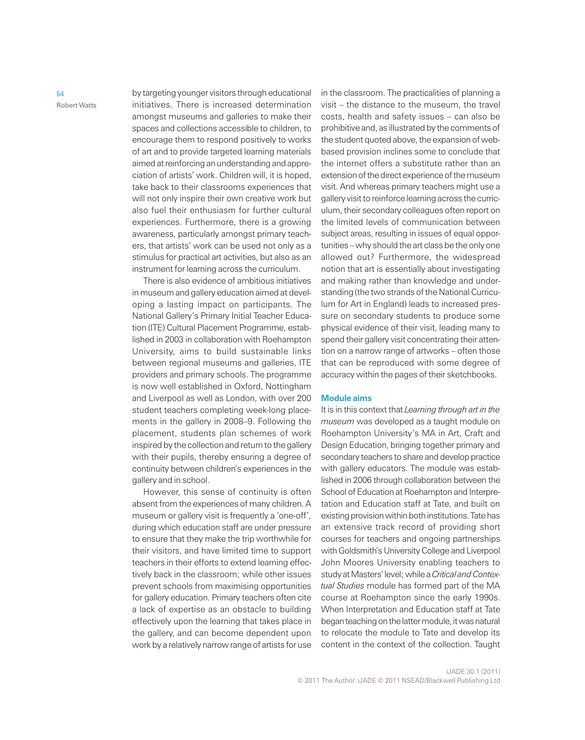54 Robert Watts by targeting younger visitors through educational initiatives. There is increased determination amongst museums and galleries to make their spaces and collections accessible to children, to encourage them to respond positively to works of art and to provide targeted learning materials aimed at reinforcing an understanding and appreciation of artists' work. Children will, it is hoped, take back to their classrooms experiences that will not only inspire their own creative work but also fuel their enthusiasm for further cultural experiences. Furthermore, there is a growing awareness, particularly amongst primary teachers, that artists' work can be used not only as a stimulus for practical art activities, but also as an instrument for learning across the curriculum.

There is also evidence of ambitious initiatives in museum and gallery education aimed at developing a lasting impact on participants. The National Gallery's Primary Initial Teacher Education (ITE) Cultural Placement Programme, established in 2003 in collaboration with Roehampton University, aims to build sustainable links between regional museums and galleries, ITE providers and primary schools. The programme is now well established in Oxford, Nottingham and Liverpool as well as London, with over 200 student teachers completing week-long placements in the gallery in 2008–9. Following the placement, students plan schemes of work inspired by the collection and return to the gallery with their pupils, thereby ensuring a degree of continuity between children's experiences in the gallery and in school.

However, this sense of continuity is often absent from the experiences of many children. A museum or gallery visit is frequently a 'one-off'. during which education staff are under pressure to ensure that they make the trip worthwhile for their visitors, and have limited time to support teachers in their efforts to extend learning effectively back in the classroom; while other issues prevent schools from maximising opportunities for gallery education. Primary teachers often cite a lack of expertise as an obstacle to building effectively upon the learning that takes place in the gallery, and can become dependent upon work by a relatively narrow range of artists for use

in the classroom. The practicalities of planning a visit – the distance to the museum, the travel costs, health and safety issues – can also be prohibitive and, as illustrated by the comments of the student quoted above, the expansion of webbased provision inclines some to conclude that the internet offers a substitute rather than an extension of the direct experience of the museum visit. And whereas primary teachers might use a gallery visit to reinforce learning across the curriculum, their secondary colleagues often report on the limited levels of communication between subject areas, resulting in issues of equal opportunities – why should the art class be the only one allowed out? Furthermore, the widespread notion that art is essentially about investigating and making rather than knowledge and understanding (the two strands of the National Curriculum for Art in England) leads to increased pressure on secondary students to produce some physical evidence of their visit, leading many to spend their gallery visit concentrating their attention on a narrow range of artworks – often those that can be reproduced with some degree of accuracy within the pages of their sketchbooks.

#### **Module aims**

It is in this context that *Learning through art in the museum* was developed as a taught module on Roehampton University's MA in Art, Craft and Design Education, bringing together primary and secondary teachers to share and develop practice with gallery educators. The module was established in 2006 through collaboration between the School of Education at Roehampton and Interpretation and Education staff at Tate, and built on existing provision within both institutions. Tate has an extensive track record of providing short courses for teachers and ongoing partnerships with Goldsmith's University College and Liverpool John Moores University enabling teachers to study at Masters' level; while a *Critical and Contextual Studies* module has formed part of the MA course at Roehampton since the early 1990s. When Interpretation and Education staff at Tate began teaching on the latter module, it was natural to relocate the module to Tate and develop its content in the context of the collection. Taught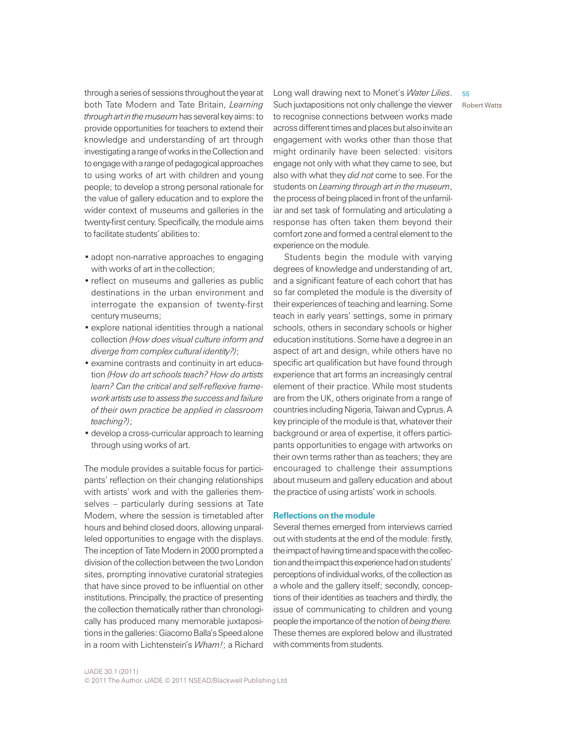through a series of sessions throughout the year at Long wall drawing next to Monet's *Water Lilies*. 55 both Tate Modern and Tate Britain, *Learning through art in the museum* has several key aims: to provide opportunities for teachers to extend their knowledge and understanding of art through investigating a range of works in the Collection and to engage with a range of pedagogical approaches to using works of art with children and young people; to develop a strong personal rationale for the value of gallery education and to explore the wider context of museums and galleries in the twenty-first century. Specifically, the module aims to facilitate students' abilities to:

- adopt non-narrative approaches to engaging with works of art in the collection;
- reflect on museums and galleries as public destinations in the urban environment and interrogate the expansion of twenty-first century museums;
- explore national identities through a national collection *(How does visual culture inform and diverge from complex cultural identity?)*;
- examine contrasts and continuity in art education *(How do art schools teach? How do artists learn? Can the critical and self-reflexive framework artists use to assess the success and failure of their own practice be applied in classroom teaching?)*;
- develop a cross-curricular approach to learning through using works of art.

The module provides a suitable focus for participants' reflection on their changing relationships with artists' work and with the galleries themselves – particularly during sessions at Tate Modern, where the session is timetabled after hours and behind closed doors, allowing unparalleled opportunities to engage with the displays. The inception of Tate Modern in 2000 prompted a division of the collection between the two London sites, prompting innovative curatorial strategies that have since proved to be influential on other institutions. Principally, the practice of presenting the collection thematically rather than chronologically has produced many memorable juxtapositions in the galleries: Giacomo Balla's Speed alone in a room with Lichtenstein's *Wham!*; a Richard Such juxtapositions not only challenge the viewer Robert Watts

to recognise connections between works made across different times and places but also invite an engagement with works other than those that might ordinarily have been selected: visitors engage not only with what they came to see, but also with what they *did not* come to see. For the students on *Learning through art in the museum*, the process of being placed in front of the unfamiliar and set task of formulating and articulating a response has often taken them beyond their comfort zone and formed a central element to the experience on the module.

Students begin the module with varying degrees of knowledge and understanding of art, and a significant feature of each cohort that has so far completed the module is the diversity of their experiences of teaching and learning. Some teach in early years' settings, some in primary schools, others in secondary schools or higher education institutions. Some have a degree in an aspect of art and design, while others have no specific art qualification but have found through experience that art forms an increasingly central element of their practice. While most students are from the UK, others originate from a range of countries including Nigeria, Taiwan and Cyprus. A key principle of the module is that, whatever their background or area of expertise, it offers participants opportunities to engage with artworks on their own terms rather than as teachers; they are encouraged to challenge their assumptions about museum and gallery education and about the practice of using artists' work in schools.

#### **Reflections on the module**

Several themes emerged from interviews carried out with students at the end of the module: firstly, the impact of having time and space with the collection and the impact this experience had on students' perceptions of individual works, of the collection as a whole and the gallery itself; secondly, conceptions of their identities as teachers and thirdly, the issue of communicating to children and young people the importance of the notion of *being there.* These themes are explored below and illustrated with comments from students.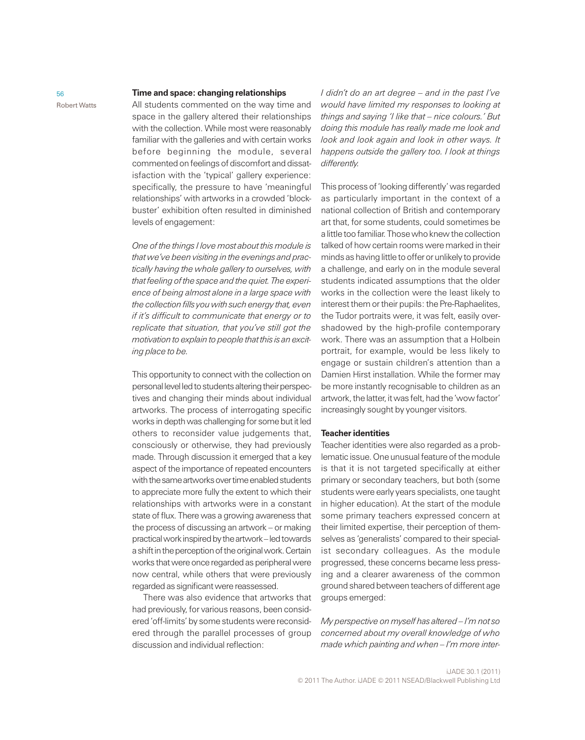#### **Time and space: changing relationships**

Robert Watts

56

All students commented on the way time and space in the gallery altered their relationships with the collection. While most were reasonably familiar with the galleries and with certain works before beginning the module, several commented on feelings of discomfort and dissatisfaction with the 'typical' gallery experience: specifically, the pressure to have 'meaningful relationships' with artworks in a crowded 'blockbuster' exhibition often resulted in diminished levels of engagement:

*One of the things I love most about this module is that we've been visiting in the evenings and practically having the whole gallery to ourselves, with that feeling of the space and the quiet. The experience of being almost alone in a large space with the collection fills you with such energy that, even if it's difficult to communicate that energy or to replicate that situation, that you've still got the motivation to explain to people that this is an exciting place to be.* 

This opportunity to connect with the collection on personal level led to students altering their perspectives and changing their minds about individual artworks. The process of interrogating specific works in depth was challenging for some but it led others to reconsider value judgements that, consciously or otherwise, they had previously made. Through discussion it emerged that a key aspect of the importance of repeated encounters with the same artworks over time enabled students to appreciate more fully the extent to which their relationships with artworks were in a constant state of flux. There was a growing awareness that the process of discussing an artwork – or making practical work inspired by the artwork – led towards a shift in the perception of the original work. Certain works that were once regarded as peripheral were now central, while others that were previously regarded as significant were reassessed.

There was also evidence that artworks that had previously, for various reasons, been considered 'off-limits' by some students were reconsidered through the parallel processes of group discussion and individual reflection:

*I didn't do an art degree – and in the past I've would have limited my responses to looking at things and saying 'I like that – nice colours.' But doing this module has really made me look and look and look again and look in other ways. It happens outside the gallery too. I look at things differently.*

This process of 'looking differently' was regarded as particularly important in the context of a national collection of British and contemporary art that, for some students, could sometimes be a little too familiar. Those who knew the collection talked of how certain rooms were marked in their minds as having little to offer or unlikely to provide a challenge, and early on in the module several students indicated assumptions that the older works in the collection were the least likely to interest them or their pupils: the Pre-Raphaelites, the Tudor portraits were, it was felt, easily overshadowed by the high-profile contemporary work. There was an assumption that a Holbein portrait, for example, would be less likely to engage or sustain children's attention than a Damien Hirst installation. While the former may be more instantly recognisable to children as an artwork, the latter, it was felt, had the 'wow factor' increasingly sought by younger visitors.

#### **Teacher identities**

Teacher identities were also regarded as a problematic issue. One unusual feature of the module is that it is not targeted specifically at either primary or secondary teachers, but both (some students were early years specialists, one taught in higher education). At the start of the module some primary teachers expressed concern at their limited expertise, their perception of themselves as 'generalists' compared to their specialist secondary colleagues. As the module progressed, these concerns became less pressing and a clearer awareness of the common ground shared between teachers of different age groups emerged:

*My perspective on myself has altered – I'm not so concerned about my overall knowledge of who made which painting and when – I'm more inter-*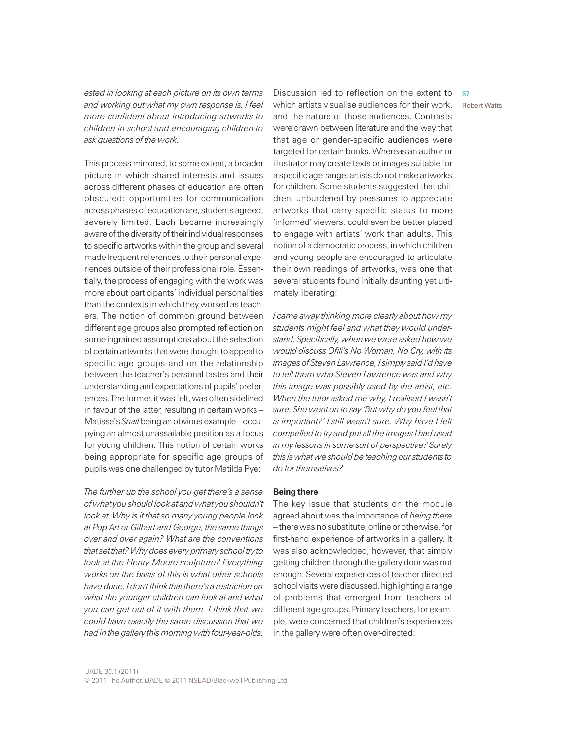*ested in looking at each picture on its own terms and working out what my own response is. I feel more confident about introducing artworks to children in school and encouraging children to ask questions of the work.* 

This process mirrored, to some extent, a broader picture in which shared interests and issues across different phases of education are often obscured: opportunities for communication across phases of education are, students agreed, severely limited. Each became increasingly aware of the diversity of their individual responses to specific artworks within the group and several made frequent references to their personal experiences outside of their professional role. Essentially, the process of engaging with the work was more about participants' individual personalities than the contexts in which they worked as teachers. The notion of common ground between different age groups also prompted reflection on some ingrained assumptions about the selection of certain artworks that were thought to appeal to specific age groups and on the relationship between the teacher's personal tastes and their understanding and expectations of pupils' preferences. The former, it was felt, was often sidelined in favour of the latter, resulting in certain works – Matisse's *Snail* being an obvious example – occupying an almost unassailable position as a focus for young children. This notion of certain works being appropriate for specific age groups of pupils was one challenged by tutor Matilda Pye:

*The further up the school you get there's a sense of what you should look at and what you shouldn't look at. Why is it that so many young people look at Pop Art or Gilbert and George, the same things over and over again? What are the conventions that set that? Why does every primary school try to look at the Henry Moore sculpture? Everything works on the basis of this is what other schools have done. I don't think that there's a restriction on what the younger children can look at and what you can get out of it with them. I think that we could have exactly the same discussion that we had in the gallery this morning with four-year-olds.* 

Discussion led to reflection on the extent to 57 which artists visualise audiences for their work, Robert Watts and the nature of those audiences. Contrasts were drawn between literature and the way that that age or gender-specific audiences were targeted for certain books. Whereas an author or illustrator may create texts or images suitable for a specific age-range, artists do not make artworks for children. Some students suggested that children, unburdened by pressures to appreciate artworks that carry specific status to more 'informed' viewers, could even be better placed to engage with artists' work than adults. This notion of a democratic process, in which children and young people are encouraged to articulate their own readings of artworks, was one that several students found initially daunting yet ultimately liberating:

*I came away thinking more clearly about how my students might feel and what they would understand. Specifically, when we were asked how we would discuss Ofili's No Woman, No Cry, with its images of Steven Lawrence, I simply said I'd have to tell them who Steven Lawrence was and why this image was possibly used by the artist, etc. When the tutor asked me why, I realised I wasn't sure. She went on to say 'But why do you feel that is important?' I still wasn't sure. Why have I felt compelled to try and put all the images I had used in my lessons in some sort of perspective? Surely this is what we should be teaching our students to do for themselves?* 

#### **Being there**

The key issue that students on the module agreed about was the importance of *being there* – there was no substitute, online or otherwise, for first-hand experience of artworks in a gallery. It was also acknowledged, however, that simply getting children through the gallery door was not enough. Several experiences of teacher-directed school visits were discussed, highlighting a range of problems that emerged from teachers of different age groups. Primary teachers, for example, were concerned that children's experiences in the gallery were often over-directed:

iJADE 30.1 (2011) © 2011 The Author. iJADE © 2011 NSEAD/Blackwell Publishing Ltd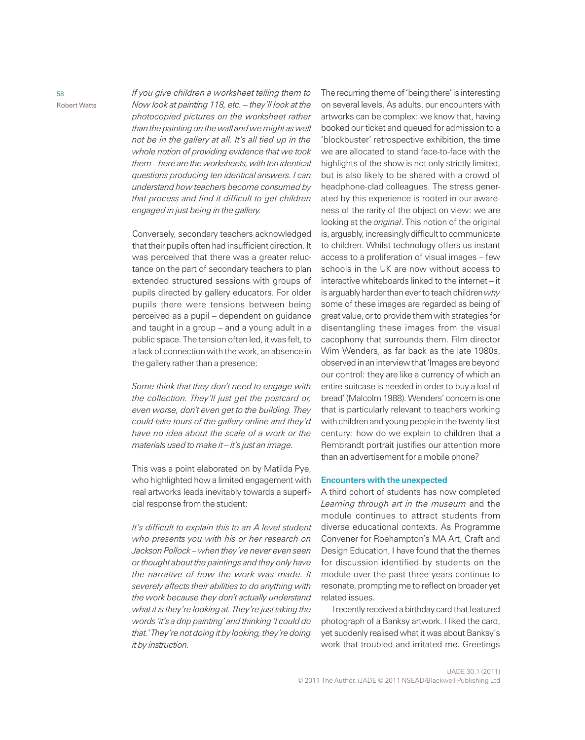58 Robert Watts

*If you give children a worksheet telling them to Now look at painting 118, etc. – they'll look at the photocopied pictures on the worksheet rather than the painting on the wall and we might as well not be in the gallery at all. It's all tied up in the whole notion of providing evidence that we took them – here are the worksheets, with ten identical questions producing ten identical answers. I can understand how teachers become consumed by that process and find it difficult to get children engaged in just being in the gallery.*

Conversely, secondary teachers acknowledged that their pupils often had insufficient direction. It was perceived that there was a greater reluctance on the part of secondary teachers to plan extended structured sessions with groups of pupils directed by gallery educators. For older pupils there were tensions between being perceived as a pupil – dependent on guidance and taught in a group – and a young adult in a public space. The tension often led, it was felt, to a lack of connection with the work, an absence in the gallery rather than a presence:

*Some think that they don't need to engage with the collection. They'll just get the postcard or, even worse, don't even get to the building. They could take tours of the gallery online and they'd have no idea about the scale of a work or the materials used to make it – it's just an image.* 

This was a point elaborated on by Matilda Pye, who highlighted how a limited engagement with real artworks leads inevitably towards a superficial response from the student:

*It's difficult to explain this to an A level student who presents you with his or her research on Jackson Pollock – when they've never even seen or thought about the paintings and they only have the narrative of how the work was made. It severely affects their abilities to do anything with the work because they don't actually understand what it is they're looking at. They're just taking the words 'it's a drip painting' and thinking 'I could do that.' They're not doing it by looking, they're doing it by instruction.*

The recurring theme of 'being there' is interesting on several levels. As adults, our encounters with artworks can be complex: we know that, having booked our ticket and queued for admission to a 'blockbuster' retrospective exhibition, the time we are allocated to stand face-to-face with the highlights of the show is not only strictly limited, but is also likely to be shared with a crowd of headphone-clad colleagues. The stress generated by this experience is rooted in our awareness of the rarity of the object on view: we are looking at the *original*. This notion of the original is, arguably, increasingly difficult to communicate to children. Whilst technology offers us instant access to a proliferation of visual images – few schools in the UK are now without access to interactive whiteboards linked to the internet – it is arguably harder than ever to teach children *why* some of these images are regarded as being of great value, or to provide them with strategies for disentangling these images from the visual cacophony that surrounds them. Film director Wim Wenders, as far back as the late 1980s, observed in an interview that 'Images are beyond our control: they are like a currency of which an entire suitcase is needed in order to buy a loaf of bread' (Malcolm 1988). Wenders' concern is one that is particularly relevant to teachers working with children and young people in the twenty-first century: how do we explain to children that a Rembrandt portrait justifies our attention more than an advertisement for a mobile phone?

#### **Encounters with the unexpected**

A third cohort of students has now completed *Learning through art in the museum* and the module continues to attract students from diverse educational contexts. As Programme Convener for Roehampton's MA Art, Craft and Design Education, I have found that the themes for discussion identified by students on the module over the past three years continue to resonate, prompting me to reflect on broader yet related issues.

I recently received a birthday card that featured photograph of a Banksy artwork. I liked the card, yet suddenly realised what it was about Banksy's work that troubled and irritated me. Greetings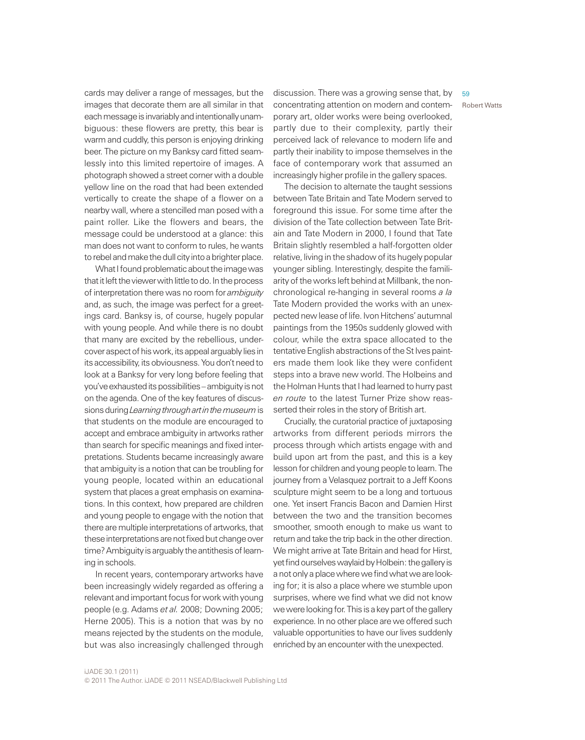cards may deliver a range of messages, but the images that decorate them are all similar in that each message is invariably and intentionally unambiguous: these flowers are pretty, this bear is warm and cuddly, this person is enjoying drinking beer. The picture on my Banksy card fitted seamlessly into this limited repertoire of images. A photograph showed a street corner with a double yellow line on the road that had been extended vertically to create the shape of a flower on a nearby wall, where a stencilled man posed with a paint roller. Like the flowers and bears, the message could be understood at a glance: this man does not want to conform to rules, he wants to rebel and make the dull city into a brighter place.

What I found problematic about the image was that it left the viewer with little to do. In the process of interpretation there was no room for *ambiguity* and, as such, the image was perfect for a greetings card. Banksy is, of course, hugely popular with young people. And while there is no doubt that many are excited by the rebellious, undercover aspect of his work, its appeal arguably lies in its accessibility, its obviousness. You don't need to look at a Banksy for very long before feeling that you've exhausted its possibilities – ambiguity is not on the agenda. One of the key features of discussions during *Learning through art in the museum* is that students on the module are encouraged to accept and embrace ambiguity in artworks rather than search for specific meanings and fixed interpretations. Students became increasingly aware that ambiguity is a notion that can be troubling for young people, located within an educational system that places a great emphasis on examinations. In this context, how prepared are children and young people to engage with the notion that there are multiple interpretations of artworks, that these interpretations are not fixed but change over time? Ambiguity is arguably the antithesis of learning in schools.

In recent years, contemporary artworks have been increasingly widely regarded as offering a relevant and important focus for work with young people (e.g. Adams *et al.* 2008; Downing 2005; Herne 2005). This is a notion that was by no means rejected by the students on the module, but was also increasingly challenged through discussion. There was a growing sense that, by concentrating attention on modern and contemporary art, older works were being overlooked, partly due to their complexity, partly their perceived lack of relevance to modern life and partly their inability to impose themselves in the face of contemporary work that assumed an increasingly higher profile in the gallery spaces.

The decision to alternate the taught sessions between Tate Britain and Tate Modern served to foreground this issue. For some time after the division of the Tate collection between Tate Britain and Tate Modern in 2000, I found that Tate Britain slightly resembled a half-forgotten older relative, living in the shadow of its hugely popular younger sibling. Interestingly, despite the familiarity of the works left behind at Millbank, the nonchronological re-hanging in several rooms *a la* Tate Modern provided the works with an unexpected new lease of life. Ivon Hitchens' autumnal paintings from the 1950s suddenly glowed with colour, while the extra space allocated to the tentative English abstractions of the St Ives painters made them look like they were confident steps into a brave new world. The Holbeins and the Holman Hunts that I had learned to hurry past *en route* to the latest Turner Prize show reasserted their roles in the story of British art.

Crucially, the curatorial practice of juxtaposing artworks from different periods mirrors the process through which artists engage with and build upon art from the past, and this is a key lesson for children and young people to learn. The journey from a Velasquez portrait to a Jeff Koons sculpture might seem to be a long and tortuous one. Yet insert Francis Bacon and Damien Hirst between the two and the transition becomes smoother, smooth enough to make us want to return and take the trip back in the other direction. We might arrive at Tate Britain and head for Hirst. yet find ourselves waylaid by Holbein: the gallery is a not only a place where we find what we are looking for; it is also a place where we stumble upon surprises, where we find what we did not know we were looking for. This is a key part of the gallery experience. In no other place are we offered such valuable opportunities to have our lives suddenly enriched by an encounter with the unexpected.

#### Robert Watts

59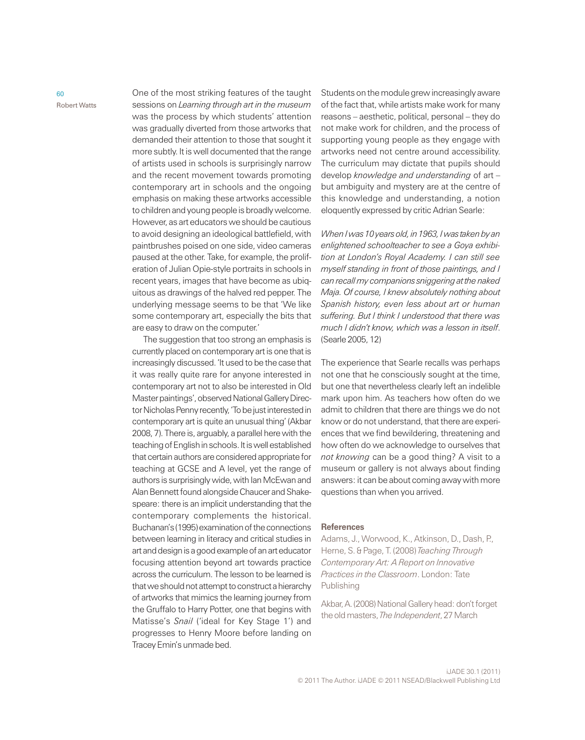60 Robert Watts

One of the most striking features of the taught sessions on *Learning through art in the museum* was the process by which students' attention was gradually diverted from those artworks that demanded their attention to those that sought it more subtly. It is well documented that the range of artists used in schools is surprisingly narrow and the recent movement towards promoting contemporary art in schools and the ongoing emphasis on making these artworks accessible to children and young people is broadly welcome. However, as art educators we should be cautious to avoid designing an ideological battlefield, with paintbrushes poised on one side, video cameras paused at the other. Take, for example, the proliferation of Julian Opie-style portraits in schools in recent years, images that have become as ubiquitous as drawings of the halved red pepper. The underlying message seems to be that 'We like some contemporary art, especially the bits that are easy to draw on the computer.'

The suggestion that too strong an emphasis is currently placed on contemporary art is one that is increasingly discussed. 'It used to be the case that it was really quite rare for anyone interested in contemporary art not to also be interested in Old Master paintings', observed National Gallery Director Nicholas Penny recently, 'To be just interested in contemporary art is quite an unusual thing' (Akbar 2008, 7). There is, arguably, a parallel here with the teaching of English in schools. It is well established that certain authors are considered appropriate for teaching at GCSE and A level, yet the range of authors is surprisingly wide, with Ian McEwan and Alan Bennett found alongside Chaucer and Shakespeare: there is an implicit understanding that the contemporary complements the historical. Buchanan's (1995) examination of the connections between learning in literacy and critical studies in art and design is a good example of an art educator focusing attention beyond art towards practice across the curriculum. The lesson to be learned is that we should not attempt to construct a hierarchy of artworks that mimics the learning journey from the Gruffalo to Harry Potter, one that begins with Matisse's *Snail* ('ideal for Key Stage 1') and progresses to Henry Moore before landing on Tracey Emin's unmade bed.

Students on the module grew increasingly aware of the fact that, while artists make work for many reasons – aesthetic, political, personal – they do not make work for children, and the process of supporting young people as they engage with artworks need not centre around accessibility. The curriculum may dictate that pupils should develop *knowledge and understanding* of art – but ambiguity and mystery are at the centre of this knowledge and understanding, a notion eloquently expressed by critic Adrian Searle:

*When I was 10 years old, in 1963, I was taken by an enlightened schoolteacher to see a Goya exhibition at London's Royal Academy. I can still see myself standing in front of those paintings, and I can recall my companions sniggering at the naked Maja. Of course, I knew absolutely nothing about Spanish history, even less about art or human suffering. But I think I understood that there was much I didn't know, which was a lesson in itself*. (Searle 2005, 12)

The experience that Searle recalls was perhaps not one that he consciously sought at the time, but one that nevertheless clearly left an indelible mark upon him. As teachers how often do we admit to children that there are things we do not know or do not understand, that there are experiences that we find bewildering, threatening and how often do we acknowledge to ourselves that *not knowing* can be a good thing? A visit to a museum or gallery is not always about finding answers: it can be about coming away with more questions than when you arrived.

#### **References**

Adams, J., Worwood, K., Atkinson, D., Dash, P., Herne, S. & Page, T. (2008) *Teaching Through Contemporary Art: A Report on Innovative Practices in the Classroom*. London: Tate Publishing

Akbar, A. (2008) National Gallery head: don't forget the old masters, *The Independent*, 27 March